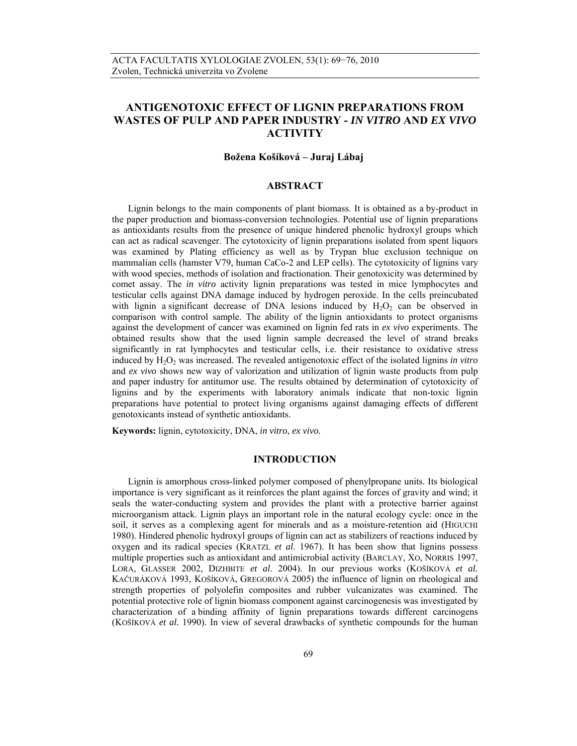# **ANTIGENOTOXIC EFFECT OF LIGNIN PREPARATIONS FROM WASTES OF PULP AND PAPER INDUSTRY -** *IN VITRO* **AND** *EX VIVO* **ACTIVITY**

# **Božena Košíková – Juraj Lábaj**

## **ABSTRACT**

Lignin belongs to the main components of plant biomass. It is obtained as a by-product in the paper production and biomass-conversion technologies. Potential use of lignin preparations as antioxidants results from the presence of unique hindered phenolic hydroxyl groups which can act as radical scavenger. The cytotoxicity of lignin preparations isolated from spent liquors was examined by Plating efficiency as well as by Trypan blue exclusion technique on mammalian cells (hamster V79, human CaCo-2 and LEP cells). The cytotoxicity of lignins vary with wood species, methods of isolation and fractionation. Their genotoxicity was determined by comet assay. The *in vitro* activity lignin preparations was tested in mice lymphocytes and testicular cells against DNA damage induced by hydrogen peroxide. In the cells preincubated with lignin a significant decrease of DNA lesions induced by  $H_2O_2$  can be observed in comparison with control sample. The ability of the lignin antioxidants to protect organisms against the development of cancer was examined on lignin fed rats in *ex vivo* experiments. The obtained results show that the used lignin sample decreased the level of strand breaks significantly in rat lymphocytes and testicular cells, i.e. their resistance to oxidative stress induced by H<sub>2</sub>O<sub>2</sub> was increased. The revealed antigenotoxic effect of the isolated lignins *in vitro* and *ex vivo* shows new way of valorization and utilization of lignin waste products from pulp and paper industry for antitumor use. The results obtained by determination of cytotoxicity of lignins and by the experiments with laboratory animals indicate that non-toxic lignin preparations have potential to protect living organisms against damaging effects of different genotoxicants instead of synthetic antioxidants.

**Keywords:** lignin, cytotoxicity, DNA, *in vitro*, *ex vivo.* 

## **INTRODUCTION**

Lignin is amorphous cross-linked polymer composed of phenylpropane units. Its biological importance is very significant as it reinforces the plant against the forces of gravity and wind; it seals the water-conducting system and provides the plant with a protective barrier against microorganism attack. Lignin plays an important role in the natural ecology cycle: once in the soil, it serves as a complexing agent for minerals and as a moisture-retention aid (HIGUCHI 1980). Hindered phenolic hydroxyl groups of lignin can act as stabilizers of reactions induced by oxygen and its radical species (KRATZL *et al*. 1967). It has been show that lignins possess multiple properties such as antioxidant and antimicrobial activity (BARCLAY, XO, NORRIS 1997, LORA, GLASSER 2002, DIZHBITE *et al*. 2004). In our previous works (KOŠÍKOVÁ *et al.* KAČURÁKOVÁ 1993, KOŠÍKOVÁ, GREGOROVÁ 2005) the influence of lignin on rheological and strength properties of polyolefin composites and rubber vulcanizates was examined. The potential protective role of lignin biomass component against carcinogenesis was investigated by characterization of a binding affinity of lignin preparations towards different carcinogens (KOŠÍKOVÁ *et al.* 1990). In view of several drawbacks of synthetic compounds for the human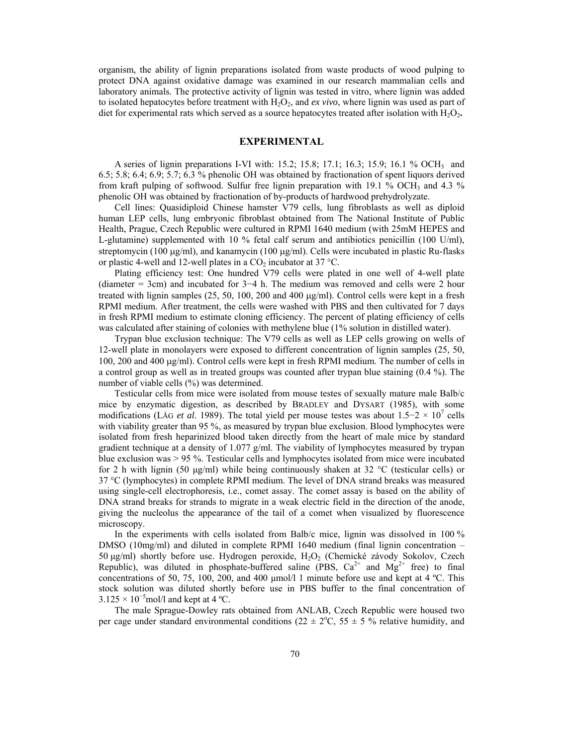organism, the ability of lignin preparations isolated from waste products of wood pulping to protect DNA against oxidative damage was examined in our research mammalian cells and laboratory animals. The protective activity of lignin was tested in vitro, where lignin was added to isolated hepatocytes before treatment with  $H_2O_2$ , and *ex vivo*, where lignin was used as part of diet for experimental rats which served as a source hepatocytes treated after isolation with H<sub>2</sub>O<sub>2</sub>.

## **EXPERIMENTAL**

A series of lignin preparations I-VI with: 15.2; 15.8; 17.1; 16.3; 15.9; 16.1 % OCH<sub>3</sub> and 6.5; 5.8; 6.4; 6.9; 5.7; 6.3 % phenolic OH was obtained by fractionation of spent liquors derived from kraft pulping of softwood. Sulfur free lignin preparation with 19.1 % OCH<sub>3</sub> and 4.3 % phenolic OH was obtained by fractionation of by-products of hardwood prehydrolyzate.

Cell lines: Quasidiploid Chinese hamster V79 cells, lung fibroblasts as well as diploid human LEP cells, lung embryonic fibroblast obtained from The National Institute of Public Health, Prague, Czech Republic were cultured in RPMI 1640 medium (with 25mM HEPES and L-glutamine) supplemented with 10 % fetal calf serum and antibiotics penicillin (100 U/ml), streptomycin (100  $\mu$ g/ml), and kanamycin (100  $\mu$ g/ml). Cells were incubated in plastic Ru-flasks or plastic 4-well and 12-well plates in a  $CO<sub>2</sub>$  incubator at 37 °C.

Plating efficiency test: One hundred V79 cells were plated in one well of 4-well plate (diameter = 3cm) and incubated for 3−4 h. The medium was removed and cells were 2 hour treated with lignin samples  $(25, 50, 100, 200, 400, \mu g/ml)$ . Control cells were kept in a fresh RPMI medium. After treatment, the cells were washed with PBS and then cultivated for 7 days in fresh RPMI medium to estimate cloning efficiency. The percent of plating efficiency of cells was calculated after staining of colonies with methylene blue (1% solution in distilled water).

Trypan blue exclusion technique: The V79 cells as well as LEP cells growing on wells of 12-well plate in monolayers were exposed to different concentration of lignin samples (25, 50, 100, 200 and 400 μg/ml). Control cells were kept in fresh RPMI medium. The number of cells in a control group as well as in treated groups was counted after trypan blue staining (0.4 %). The number of viable cells (%) was determined.

Testicular cells from mice were isolated from mouse testes of sexually mature male Balb/c mice by enzymatic digestion, as described by BRADLEY and DYSART (1985), with some modifications (LÅG *et al.* 1989). The total yield per mouse testes was about 1.5−2 × 10<sup>7</sup> cells with viability greater than 95 %, as measured by trypan blue exclusion. Blood lymphocytes were isolated from fresh heparinized blood taken directly from the heart of male mice by standard gradient technique at a density of  $1.077$  g/ml. The viability of lymphocytes measured by trypan blue exclusion was > 95 %. Testicular cells and lymphocytes isolated from mice were incubated for 2 h with lignin (50  $\mu$ g/ml) while being continuously shaken at 32 °C (testicular cells) or 37 °C (lymphocytes) in complete RPMI medium. The level of DNA strand breaks was measured using single-cell electrophoresis, i.e., comet assay. The comet assay is based on the ability of DNA strand breaks for strands to migrate in a weak electric field in the direction of the anode, giving the nucleolus the appearance of the tail of a comet when visualized by fluorescence microscopy.

In the experiments with cells isolated from Balb/c mice, lignin was dissolved in 100 % DMSO (10mg/ml) and diluted in complete RPMI 1640 medium (final lignin concentration – 50 μg/ml) shortly before use. Hydrogen peroxide,  $H_2O_2$  (Chemické závody Sokolov, Czech Republic), was diluted in phosphate-buffered saline (PBS,  $Ca^{2+}$  and  $Mg^{2+}$  free) to final concentrations of 50, 75, 100, 200, and 400 μmol/l 1 minute before use and kept at 4 ºC. This stock solution was diluted shortly before use in PBS buffer to the final concentration of  $3.125 \times 10^{-5}$  mol/l and kept at 4 °C.

The male Sprague-Dowley rats obtained from ANLAB, Czech Republic were housed two per cage under standard environmental conditions ( $22 \pm 2$ °C,  $55 \pm 5$  % relative humidity, and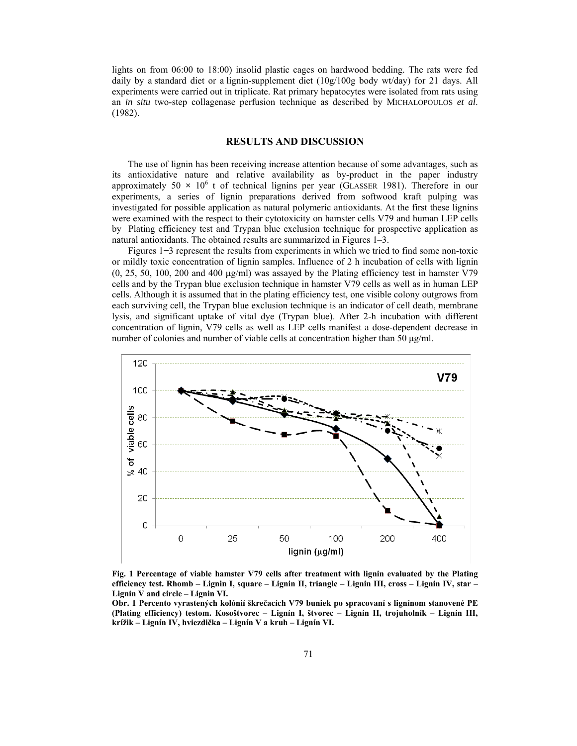lights on from 06:00 to 18:00) insolid plastic cages on hardwood bedding. The rats were fed daily by a standard diet or a lignin-supplement diet (10g/100g body wt/day) for 21 days. All experiments were carried out in triplicate. Rat primary hepatocytes were isolated from rats using an *in situ* two-step collagenase perfusion technique as described by MICHALOPOULOS *et al*. (1982).

## **RESULTS AND DISCUSSION**

The use of lignin has been receiving increase attention because of some advantages, such as its antioxidative nature and relative availability as by-product in the paper industry approximately  $50 \times 10^6$  t of technical lignins per year (GLASSER 1981). Therefore in our experiments, a series of lignin preparations derived from softwood kraft pulping was investigated for possible application as natural polymeric antioxidants. At the first these lignins were examined with the respect to their cytotoxicity on hamster cells V79 and human LEP cells by Plating efficiency test and Trypan blue exclusion technique for prospective application as natural antioxidants. The obtained results are summarized in Figures 1–3.

Figures 1**−**3 represent the results from experiments in which we tried to find some non-toxic or mildly toxic concentration of lignin samples. Influence of 2 h incubation of cells with lignin  $(0, 25, 50, 100, 200, 400 \mu g/ml)$  was assayed by the Plating efficiency test in hamster V79 cells and by the Trypan blue exclusion technique in hamster V79 cells as well as in human LEP cells. Although it is assumed that in the plating efficiency test, one visible colony outgrows from each surviving cell, the Trypan blue exclusion technique is an indicator of cell death, membrane lysis, and significant uptake of vital dye (Trypan blue). After 2-h incubation with different concentration of lignin, V79 cells as well as LEP cells manifest a dose-dependent decrease in number of colonies and number of viable cells at concentration higher than 50  $\mu$ g/ml.



**Fig. 1 Percentage of viable hamster V79 cells after treatment with lignin evaluated by the Plating efficiency test. Rhomb – Lignin I, square – Lignin II, triangle – Lignin III, cross – Lignin IV, star – Lignin V and circle – Lignin VI.** 

**Obr. 1 Percento vyrastených kolónií škrečacích V79 buniek po spracovaní s lignínom stanovené PE (Plating efficiency) testom. Kosoštvorec – Lignín I, štvorec – Lignín II, trojuholník – Lignín III, krížik – Lignín IV, hviezdička – Lignín V a kruh – Lignín VI.**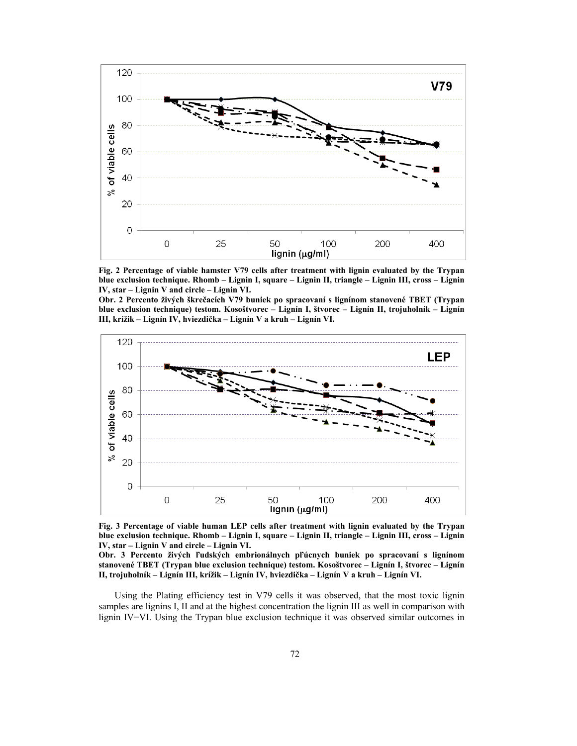

**Fig. 2 Percentage of viable hamster V79 cells after treatment with lignin evaluated by the Trypan blue exclusion technique. Rhomb – Lignin I, square – Lignin II, triangle – Lignin III, cross – Lignin IV, star – Lignin V and circle – Lignin VI.** 

**Obr. 2 Percento živých škrečacích V79 buniek po spracovaní s lignínom stanovené TBET (Trypan blue exclusion technique) testom. Kosoštvorec – Lignín I, štvorec – Lignín II, trojuholník – Lignín III, krížik – Lignín IV, hviezdička – Lignín V a kruh – Lignín VI.** 



**Fig. 3 Percentage of viable human LEP cells after treatment with lignin evaluated by the Trypan blue exclusion technique. Rhomb – Lignin I, square – Lignin II, triangle – Lignin III, cross – Lignin IV, star – Lignin V and circle – Lignin VI.** 

**Obr. 3 Percento živých ľudských embrionálnych pľúcnych buniek po spracovaní s lignínom stanovené TBET (Trypan blue exclusion technique) testom. Kosoštvorec – Lignín I, štvorec – Lignín II, trojuholník – Lignín III, krížik – Lignín IV, hviezdička – Lignín V a kruh – Lignín VI.** 

Using the Plating efficiency test in V79 cells it was observed, that the most toxic lignin samples are lignins I, II and at the highest concentration the lignin III as well in comparison with lignin IV**−**VI. Using the Trypan blue exclusion technique it was observed similar outcomes in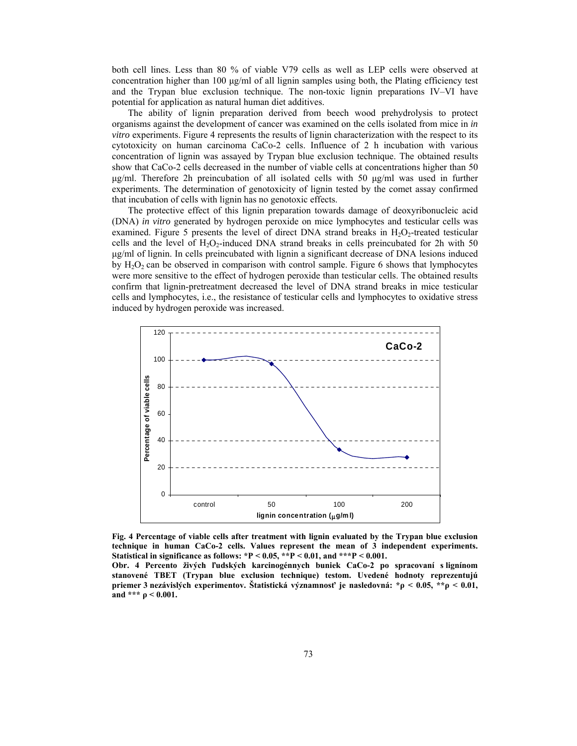both cell lines. Less than 80 % of viable V79 cells as well as LEP cells were observed at concentration higher than 100 μg/ml of all lignin samples using both, the Plating efficiency test and the Trypan blue exclusion technique. The non-toxic lignin preparations IV–VI have potential for application as natural human diet additives.

The ability of lignin preparation derived from beech wood prehydrolysis to protect organisms against the development of cancer was examined on the cells isolated from mice in *in vitro* experiments. Figure 4 represents the results of lignin characterization with the respect to its cytotoxicity on human carcinoma CaCo-2 cells. Influence of 2 h incubation with various concentration of lignin was assayed by Trypan blue exclusion technique. The obtained results show that CaCo-2 cells decreased in the number of viable cells at concentrations higher than 50 μg/ml. Therefore 2h preincubation of all isolated cells with 50 μg/ml was used in further experiments. The determination of genotoxicity of lignin tested by the comet assay confirmed that incubation of cells with lignin has no genotoxic effects.

The protective effect of this lignin preparation towards damage of deoxyribonucleic acid (DNA) *in vitro* generated by hydrogen peroxide on mice lymphocytes and testicular cells was examined. Figure 5 presents the level of direct DNA strand breaks in  $H_2O_2$ -treated testicular cells and the level of  $H_2O_2$ -induced DNA strand breaks in cells preincubated for 2h with 50 μg/ml of lignin. In cells preincubated with lignin a significant decrease of DNA lesions induced by  $H_2O_2$  can be observed in comparison with control sample. Figure 6 shows that lymphocytes were more sensitive to the effect of hydrogen peroxide than testicular cells. The obtained results confirm that lignin-pretreatment decreased the level of DNA strand breaks in mice testicular cells and lymphocytes, i.e., the resistance of testicular cells and lymphocytes to oxidative stress induced by hydrogen peroxide was increased.



**Fig. 4 Percentage of viable cells after treatment with lignin evaluated by the Trypan blue exclusion technique in human CaCo-2 cells. Values represent the mean of 3 independent experiments. Statistical in significance as follows: \*P < 0.05, \*\*P < 0.01, and \*\*\*P < 0.001.** 

**Obr. 4 Percento živých ľudských karcinogénnych buniek CaCo-2 po spracovaní s lignínom stanovené TBET (Trypan blue exclusion technique) testom. Uvedené hodnoty reprezentujú priemer 3 nezávislých experimentov. Štatistická významnosť je nasledovná: \*ρ < 0.05, \*\*ρ < 0.01, and \*\*\***  $\rho$  < 0.001.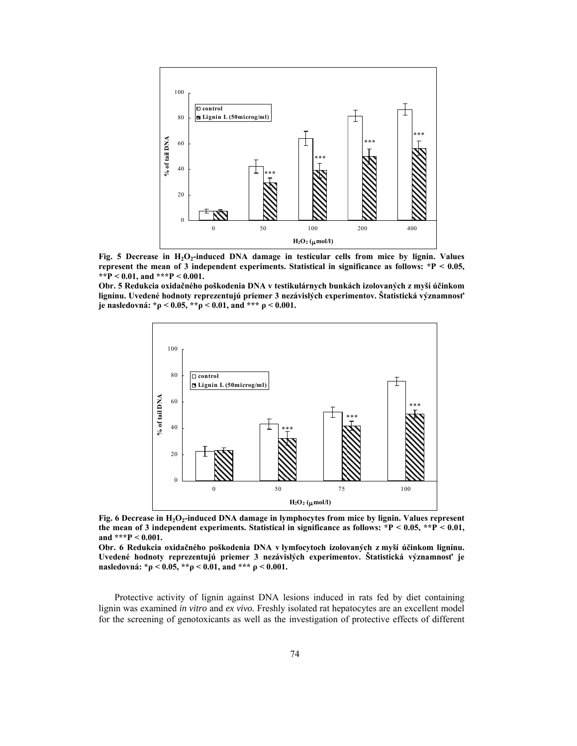

Fig. 5 Decrease in H<sub>2</sub>O<sub>2</sub>-induced DNA damage in testicular cells from mice by lignin. Values **represent the mean of 3 independent experiments. Statistical in significance as follows: \*P < 0.05, \*\*P < 0.01, and \*\*\*P < 0.001.** 

**Obr. 5 Redukcia oxidačného poškodenia DNA v testikulárnych bunkách izolovaných z myší účinkom lignínu. Uvedené hodnoty reprezentujú priemer 3 nezávislých experimentov. Štatistická významnosť je nasledovná: \*ρ < 0.05, \*\*ρ < 0.01, and \*\*\* ρ < 0.001.** 



Fig. 6 Decrease in H<sub>2</sub>O<sub>2</sub>-induced DNA damage in lymphocytes from mice by lignin. Values represent **the mean of 3 independent experiments. Statistical in significance as follows: \*P < 0.05, \*\*P < 0.01, and \*\*\*P < 0.001.** 

**Obr. 6 Redukcia oxidačného poškodenia DNA v lymfocytoch izolovaných z myší účinkom lignínu. Uvedené hodnoty reprezentujú priemer 3 nezávislých experimentov. Štatistická významnosť je nasledovná: \*ρ < 0.05, \*\*ρ < 0.01, and \*\*\* ρ < 0.001.** 

Protective activity of lignin against DNA lesions induced in rats fed by diet containing lignin was examined *in vitro* and *ex vivo.* Freshly isolated rat hepatocytes are an excellent model for the screening of genotoxicants as well as the investigation of protective effects of different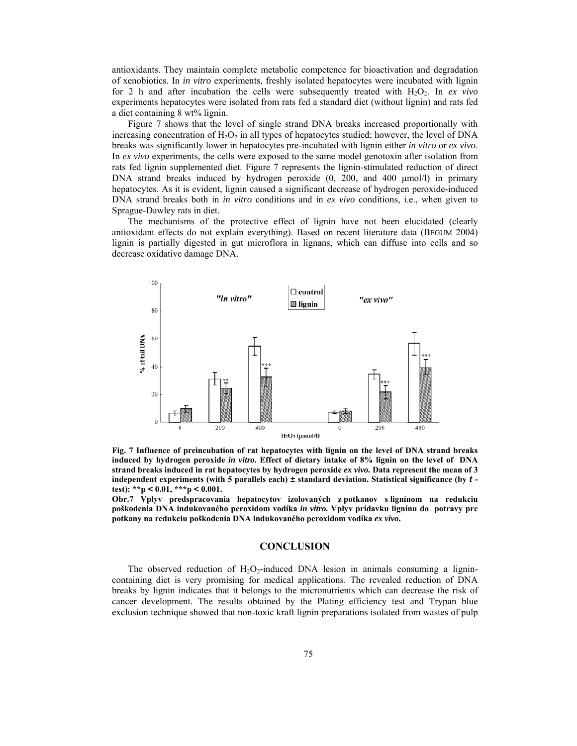antioxidants. They maintain complete metabolic competence for bioactivation and degradation of xenobiotics. In *in vitro* experiments, freshly isolated hepatocytes were incubated with lignin for 2 h and after incubation the cells were subsequently treated with  $H_2O_2$ . In *ex vivo* experiments hepatocytes were isolated from rats fed a standard diet (without lignin) and rats fed a diet containing 8 wt% lignin.

Figure 7 shows that the level of single strand DNA breaks increased proportionally with increasing concentration of  $H_2O_2$  in all types of hepatocytes studied; however, the level of DNA breaks was significantly lower in hepatocytes pre-incubated with lignin either *in vitro* or *ex vivo*. In *ex vivo* experiments, the cells were exposed to the same model genotoxin after isolation from rats fed lignin supplemented diet. Figure 7 represents the lignin-stimulated reduction of direct DNA strand breaks induced by hydrogen peroxide (0, 200, and 400 μmol/l) in primary hepatocytes. As it is evident, lignin caused a significant decrease of hydrogen peroxide-induced DNA strand breaks both in *in vitro* conditions and in *ex vivo* conditions, i.e., when given to Sprague-Dawley rats in diet.

The mechanisms of the protective effect of lignin have not been elucidated (clearly antioxidant effects do not explain everything). Based on recent literature data (BEGUM 2004) lignin is partially digested in gut microflora in lignans, which can diffuse into cells and so decrease oxidative damage DNA.



**Fig. 7 Influence of preincubation of rat hepatocytes with lignin on the level of DNA strand breaks induced by hydrogen peroxide** *in vitro***. Effect of dietary intake of 8% lignin on the level of DNA strand breaks induced in rat hepatocytes by hydrogen peroxide** *ex vivo.* **Data represent the mean of 3 independent experiments (with 5 parallels each) ± standard deviation. Statistical significance (by** *t*  **test): \*\*p** *<* **0.01, \*\*\*p** *<* **0.001.** 

**Obr.7 Vplyv predspracovania hepatocytov izolovaných z potkanov s lignínom na redukciu poškodenia DNA indukovaného peroxidom vodíka** *in vitro.* **Vplyv prídavku lignínu do potravy pre potkany na redukciu poškodenia DNA indukovaného peroxidom vodíka** *ex vivo***.** 

## **CONCLUSION**

The observed reduction of  $H_2O_2$ -induced DNA lesion in animals consuming a lignincontaining diet is very promising for medical applications. The revealed reduction of DNA breaks by lignin indicates that it belongs to the micronutrients which can decrease the risk of cancer development. The results obtained by the Plating efficiency test and Trypan blue exclusion technique showed that non-toxic kraft lignin preparations isolated from wastes of pulp